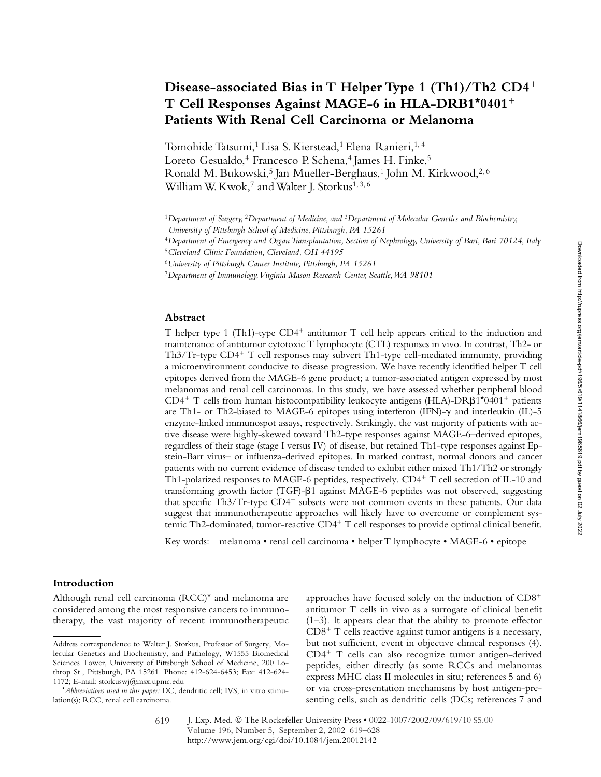# **Disease-associated Bias in T Helper Type 1 (Th1)/Th2 CD4**- **T Cell Responses Against MAGE-6 in HLA-DRB1\*0401**- **Patients With Renal Cell Carcinoma or Melanoma**

Tomohide Tatsumi,<sup>1</sup> Lisa S. Kierstead,<sup>1</sup> Elena Ranieri,<sup>1,4</sup> Loreto Gesualdo,<sup>4</sup> Francesco P. Schena,<sup>4</sup> James H. Finke,<sup>5</sup> Ronald M. Bukowski,<sup>5</sup> Jan Mueller-Berghaus,<sup>1</sup> John M. Kirkwood,<sup>2,6</sup> William W. Kwok,<sup>7</sup> and Walter J. Storkus<sup>1, 3, 6</sup>

# **Abstract**

T helper type 1 (Th1)-type CD4<sup>+</sup> antitumor T cell help appears critical to the induction and maintenance of antitumor cytotoxic T lymphocyte (CTL) responses in vivo*.* In contrast, Th2- or Th3/Tr-type CD4<sup>+</sup> T cell responses may subvert Th1-type cell-mediated immunity, providing a microenvironment conducive to disease progression. We have recently identified helper T cell epitopes derived from the MAGE-6 gene product; a tumor-associated antigen expressed by most melanomas and renal cell carcinomas. In this study, we have assessed whether peripheral blood CD4<sup>+</sup> T cells from human histocompatibility leukocyte antigens (HLA)-DR $\beta$ 1\*0401<sup>+</sup> patients are Th1- or Th2-biased to MAGE-6 epitopes using interferon (IFN)- $\gamma$  and interleukin (IL)-5 enzyme-linked immunospot assays, respectively. Strikingly, the vast majority of patients with active disease were highly-skewed toward Th2-type responses against MAGE-6–derived epitopes, regardless of their stage (stage I versus IV) of disease, but retained Th1-type responses against Epstein-Barr virus– or influenza-derived epitopes. In marked contrast, normal donors and cancer patients with no current evidence of disease tended to exhibit either mixed Th1/Th2 or strongly Th1-polarized responses to MAGE-6 peptides, respectively. CD4<sup>+</sup> T cell secretion of IL-10 and transforming growth factor (TGF)- $\beta$ 1 against MAGE-6 peptides was not observed, suggesting that specific Th3/Tr-type CD4<sup>+</sup> subsets were not common events in these patients. Our data suggest that immunotherapeutic approaches will likely have to overcome or complement systemic Th2-dominated, tumor-reactive CD4<sup>+</sup> T cell responses to provide optimal clinical benefit.

Key words: melanoma • renal cell carcinoma • helper T lymphocyte • MAGE-6 • epitope

# **Introduction**

Although renal cell carcinoma (RCC)\* and melanoma are considered among the most responsive cancers to immunotherapy, the vast majority of recent immunotherapeutic

approaches have focused solely on the induction of  $CD8^+$ antitumor T cells in vivo as a surrogate of clinical benefit (1–3). It appears clear that the ability to promote effector  $CD8<sup>+</sup>$  T cells reactive against tumor antigens is a necessary, but not sufficient, event in objective clinical responses (4). CD4- T cells can also recognize tumor antigen-derived peptides, either directly (as some RCCs and melanomas express MHC class II molecules in situ; references 5 and 6) or via cross-presentation mechanisms by host antigen-presenting cells, such as dendritic cells (DCs; references 7 and

<sup>1</sup>*Department of Surgery,* <sup>2</sup>*Department of Medicine, and* <sup>3</sup>*Department of Molecular Genetics and Biochemistry, University of Pittsburgh School of Medicine, Pittsburgh, PA 15261*

<sup>4</sup>*Department of Emergency and Organ Transplantation, Section of Nephrology, University of Bari, Bari 70124, Italy*

<sup>5</sup>*Cleveland Clinic Foundation, Cleveland, OH 44195*

<sup>6</sup>*University of Pittsburgh Cancer Institute, Pittsburgh, PA 15261*

<sup>7</sup>*Department of Immunology, Virginia Mason Research Center, Seattle, WA 98101*

Address correspondence to Walter J. Storkus, Professor of Surgery, Molecular Genetics and Biochemistry, and Pathology, W1555 Biomedical Sciences Tower, University of Pittsburgh School of Medicine, 200 Lothrop St., Pittsburgh, PA 15261. Phone: 412-624-6453; Fax: 412-624- 1172; E-mail: storkuswj@msx.upmc.edu

<sup>\*</sup>*Abbreviations used in this paper:* DC, dendritic cell; IVS, in vitro stimulation(s); RCC, renal cell carcinoma.

J. Exp. Med. © The Rockefeller University Press • 0022-1007/2002/09/619/10 \$5.00 Volume 196, Number 5, September 2, 2002 619–628 http://www.jem.org/cgi/doi/10.1084/jem.20012142 619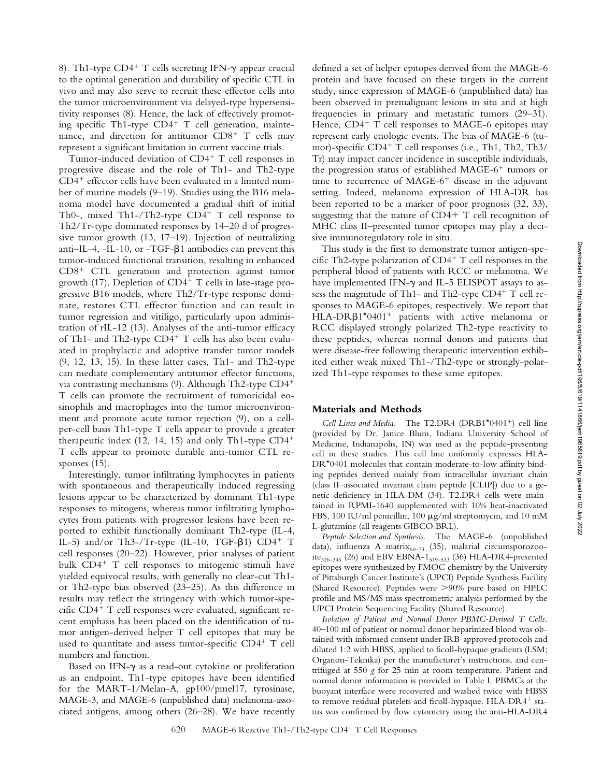8). Th1-type CD4<sup>+</sup> T cells secreting IFN- $\gamma$  appear crucial to the optimal generation and durability of specific CTL in vivo and may also serve to recruit these effector cells into the tumor microenvironment via delayed-type hypersensitivity responses (8). Hence, the lack of effectively promoting specific Th1-type CD4<sup>+</sup> T cell generation, maintenance, and direction for antitumor CD8<sup>+</sup> T cells may represent a significant limitation in current vaccine trials.

Tumor-induced deviation of CD4<sup>+</sup> T cell responses in progressive disease and the role of Th1- and Th2-type CD4- effector cells have been evaluated in a limited number of murine models (9–19). Studies using the B16 melanoma model have documented a gradual shift of initial Th0-, mixed Th1-/Th2-type CD4<sup>+</sup> T cell response to Th2/Tr-type dominated responses by 14–20 d of progressive tumor growth (13, 17–19). Injection of neutralizing anti-IL-4,  $-$ IL-10, or  $-$ TGF- $\beta$ 1 antibodies can prevent this tumor-induced functional transition, resulting in enhanced CD8- CTL generation and protection against tumor growth (17). Depletion of CD4<sup>+</sup> T cells in late-stage progressive B16 models, where Th2/Tr-type response dominate, restores CTL effector function and can result in tumor regression and vitiligo, particularly upon administration of rIL-12 (13). Analyses of the anti-tumor efficacy of Th1- and Th2-type CD4<sup>+</sup> T cells has also been evaluated in prophylactic and adoptive transfer tumor models (9, 12, 13, 15). In these latter cases, Th1- and Th2-type can mediate complementary antitumor effector functions, via contrasting mechanisms (9). Although Th2-type CD4- T cells can promote the recruitment of tumoricidal eosinophils and macrophages into the tumor microenvironment and promote acute tumor rejection (9), on a cellper-cell basis Th1-type T cells appear to provide a greater therapeutic index (12, 14, 15) and only Th1-type CD4- T cells appear to promote durable anti-tumor CTL responses (15).

Interestingly, tumor infiltrating lymphocytes in patients with spontaneous and therapeutically induced regressing lesions appear to be characterized by dominant Th1-type responses to mitogens, whereas tumor infiltrating lymphocytes from patients with progressor lesions have been reported to exhibit functionally dominant Th2-type (IL-4, IL-5) and/or Th3-/Tr-type (IL-10, TGF- $\beta$ 1) CD4<sup>+</sup> T cell responses (20–22). However, prior analyses of patient bulk CD4- T cell responses to mitogenic stimuli have yielded equivocal results, with generally no clear-cut Th1 or Th2-type bias observed (23–25). As this difference in results may reflect the stringency with which tumor-specific CD4- T cell responses were evaluated, significant recent emphasis has been placed on the identification of tumor antigen-derived helper T cell epitopes that may be used to quantitate and assess tumor-specific CD4+ T cell numbers and function.

Based on IFN- $\gamma$  as a read-out cytokine or proliferation as an endpoint, Th1-type epitopes have been identified for the MART-1/Melan-A, gp100/pmel17, tyrosinase, MAGE-3, and MAGE-6 (unpublished data) melanoma-associated antigens, among others (26–28). We have recently defined a set of helper epitopes derived from the MAGE-6 protein and have focused on these targets in the current study, since expression of MAGE-6 (unpublished data) has been observed in premalignant lesions in situ and at high frequencies in primary and metastatic tumors (29–31). Hence, CD4<sup>+</sup> T cell responses to MAGE-6 epitopes may represent early etiologic events. The bias of MAGE-6 (tumor)-specific CD4<sup>+</sup> T cell responses (i.e., Th1, Th2, Th3/ Tr) may impact cancer incidence in susceptible individuals, the progression status of established MAGE-6<sup>+</sup> tumors or time to recurrence of MAGE-6<sup>+</sup> disease in the adjuvant setting. Indeed, melanoma expression of HLA-DR has been reported to be a marker of poor prognosis (32, 33), suggesting that the nature of CD4+ T cell recognition of MHC class II–presented tumor epitopes may play a decisive immunoregulatory role in situ.

This study is the first to demonstrate tumor antigen-specific Th2-type polarization of CD4<sup>+</sup> T cell responses in the peripheral blood of patients with RCC or melanoma. We have implemented IFN- $\gamma$  and IL-5 ELISPOT assays to assess the magnitude of Th1- and Th2-type CD4<sup>+</sup> T cell responses to MAGE-6 epitopes, respectively. We report that  $HLA-DR\beta1*0401^+$  patients with active melanoma or RCC displayed strongly polarized Th2-type reactivity to these peptides, whereas normal donors and patients that were disease-free following therapeutic intervention exhibited either weak mixed Th1-/Th2-type or strongly-polarized Th1-type responses to these same epitopes.

# **Materials and Methods**

Cell Lines and Media. The T2.DR4 (DRB1\*0401<sup>+</sup>) cell line (provided by Dr. Janice Blum, Indiana University School of Medicine, Indianapolis, IN) was used as the peptide-presenting cell in these studies. This cell line uniformly expresses HLA-DR\*0401 molecules that contain moderate-to-low affinity binding peptides derived mainly from intracellular invariant chain (class II–associated invariant chain peptide [CLIP]) due to a genetic deficiency in HLA-DM (34). T2.DR4 cells were maintained in RPMI-1640 supplemented with 10% heat-inactivated FBS, 100 IU/ml penicillin, 100  $\mu$ g/ml streptomycin, and 10 mM L-glutamine (all reagents GIBCO BRL).

*Peptide Selection and Synthesis.* The MAGE-6 (unpublished data), influenza A matrix $_{60-73}$  (35), malarial circumsporozooite<sub>326–345</sub> (26) and EBV EBNA-1<sub>519–533</sub> (36) HLA-DR4-presented epitopes were synthesized by FMOC chemistry by the University of Pittsburgh Cancer Institute's (UPCI) Peptide Synthesis Facility (Shared Resource). Peptides were >90% pure based on HPLC profile and MS/MS mass spectrometric analysis performed by the UPCI Protein Sequencing Facility (Shared Resource).

*Isolation of Patient and Normal Donor PBMC-Derived T Cells.* 40–100 ml of patient or normal donor heparinized blood was obtained with informed consent under IRB-approved protocols and diluted 1:2 with HBSS, applied to ficoll-hypaque gradients (LSM; Organon-Teknika) per the manufacturer's instructions, and centrifuged at 550 *g* for 25 min at room temperature. Patient and normal donor information is provided in Table I. PBMCs at the buoyant interface were recovered and washed twice with HBSS to remove residual platelets and ficoll-hypaque. HLA-DR4<sup>+</sup> status was confirmed by flow cytometry using the anti-HLA-DR4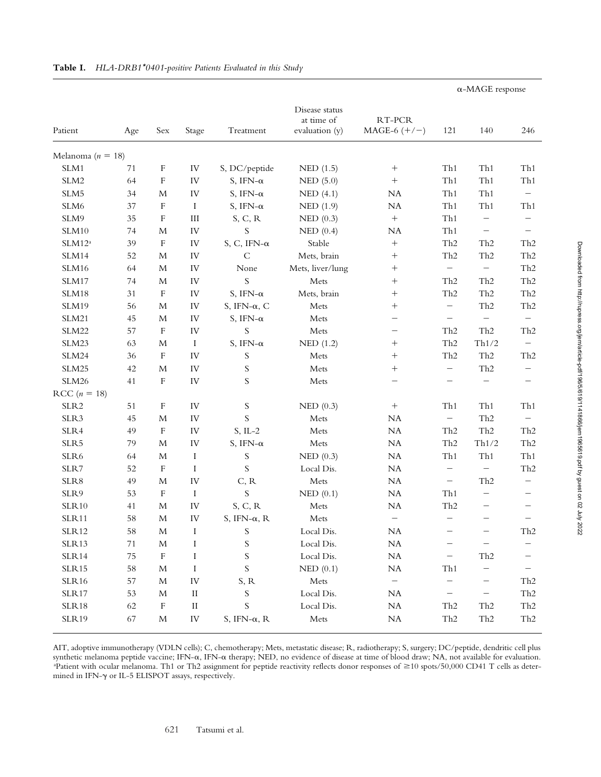| Patient               | Age         | Sex                       | Stage      | Treatment            | Disease status<br>at time of<br>evaluation (y) | RT-PCR<br>MAGE-6 $(+/-)$ | $\alpha$ -MAGE response  |                          |                          |
|-----------------------|-------------|---------------------------|------------|----------------------|------------------------------------------------|--------------------------|--------------------------|--------------------------|--------------------------|
|                       |             |                           |            |                      |                                                |                          | 121                      | 140                      | 246                      |
| Melanoma ( $n = 18$ ) |             |                           |            |                      |                                                |                          |                          |                          |                          |
| SLM1                  | 71          | $\boldsymbol{\mathrm{F}}$ | ${\rm IV}$ | S, DC/peptide        | NED(1.5)                                       | $^+$                     | Th1                      | Th1                      | Th1                      |
| SLM2                  | 64          | $\boldsymbol{\mathrm{F}}$ | IV         | S, IFN- $\alpha$     | NED(5.0)                                       |                          | Th1                      | ${\rm Th1}$              | Th1                      |
| SLM5                  | 34          | M                         | IV         | S, IFN- $\alpha$     | NED(4.1)                                       | NA                       | Th1                      | Th1                      | -                        |
| SLM6                  | 37          | F                         | $\bf{I}$   | S, IFN- $\alpha$     | NED(1.9)                                       | NA                       | Th1                      | Th1                      | Th1                      |
| SLM9                  | 35          | $\boldsymbol{\mathrm{F}}$ | III        | S, C, R              | NED(0.3)                                       | $\boldsymbol{+}$         | Th1                      | $\overline{\phantom{0}}$ |                          |
| SLM10                 | 74          | M                         | IV         | S                    | NED(0.4)                                       | NA                       | Th1                      | $\qquad \qquad -$        |                          |
| $SLM12^a$             | 39          | $\mathbf F$               | IV         | S, C, IFN- $\alpha$  | Stable                                         |                          | Th <sub>2</sub>          | Th <sub>2</sub>          | Th <sub>2</sub>          |
| SLM14                 | 52          | M                         | IV         | $\mathsf{C}$         | Mets, brain                                    | $^{+}$                   | Th <sub>2</sub>          | Th <sub>2</sub>          | Th <sub>2</sub>          |
| SLM16                 | 64          | M                         | IV         | None                 | Mets, liver/lung                               | $^+$                     | $\qquad \qquad -$        | $\overline{\phantom{m}}$ | Th <sub>2</sub>          |
| SLM17                 | 74          | М                         | IV         | $\mathbf S$          | Mets                                           |                          | Th <sub>2</sub>          | Th <sub>2</sub>          | Th <sub>2</sub>          |
| SLM18                 | 31          | $\boldsymbol{\mathrm{F}}$ | IV         | S, IFN- $\alpha$     | Mets, brain                                    | $^{+}$                   | Th <sub>2</sub>          | Th <sub>2</sub>          | Th <sub>2</sub>          |
| SLM19                 | 56          | M                         | IV         | S, IFN- $\alpha$ , C | Mets                                           | $^{+}$                   | $\qquad \qquad -$        | Th <sub>2</sub>          | Th <sub>2</sub>          |
| <b>SLM21</b>          | 45          | M                         | IV         | S, IFN- $\alpha$     | Mets                                           | $\overline{\phantom{0}}$ | $\qquad \qquad -$        | $\overline{\phantom{0}}$ | $\overline{\phantom{m}}$ |
| SLM22                 | 57          | F                         | IV         | $\mathbf S$          | Mets                                           | $\qquad \qquad -$        | Th <sub>2</sub>          | Th <sub>2</sub>          | Th <sub>2</sub>          |
| SLM23                 | 63          | $\mathbf M$               | $\bf{I}$   | S, IFN- $\alpha$     | NED(1.2)                                       | $^{+}$                   | Th <sub>2</sub>          | Th1/2                    | $\overline{\phantom{m}}$ |
| SLM24                 | 36          | $\boldsymbol{\mathrm{F}}$ | IV         | $\mathbf S$          | Mets                                           | $^{+}$                   | Th <sub>2</sub>          | Th <sub>2</sub>          | Th <sub>2</sub>          |
| SLM25                 | 42          | M                         | IV         | $\mathbf S$          | Mets                                           | $^+$                     | $\overline{\phantom{0}}$ | Th <sub>2</sub>          |                          |
| SLM26                 | 41          | $\boldsymbol{\mathrm{F}}$ | IV         | S                    | Mets                                           | $\overline{\phantom{0}}$ |                          |                          |                          |
| RCC ( $n = 18$ )      |             |                           |            |                      |                                                |                          |                          |                          |                          |
| SLR <sub>2</sub>      | 51          | F                         | IV         | $\mathbf S$          | NED(0.3)                                       | $^{+}$                   | Th <sub>1</sub>          | Th1                      | Th1                      |
| SLR <sub>3</sub>      | 45          | M                         | IV         | S                    | Mets                                           | NA                       | $\qquad \qquad -$        | Th2                      |                          |
| SLR4                  | 49          | $\boldsymbol{\mathrm{F}}$ | IV         | S, IL-2              | Mets                                           | NA                       | Th <sub>2</sub>          | ${\rm Th2}$              | Th <sub>2</sub>          |
| SLR <sub>5</sub>      | 79          | M                         | IV         | S, IFN- $\alpha$     | Mets                                           | NA                       | Th <sub>2</sub>          | Th1/2                    | Th <sub>2</sub>          |
| SLR6                  | 64          | М                         | I          | $\mathbf S$          | NED(0.3)                                       | NA                       | Th1                      | Th1                      | Th1                      |
| SLR7                  | 52          | $\mathbf F$               | I          | $\mathbf S$          | Local Dis.                                     | NA                       | -                        | $\qquad \qquad -$        | Th <sub>2</sub>          |
| SLR8                  | 49          | $\mathbf M$               | IV         | C, R                 | ${\rm Mets}$                                   | NA                       | $\qquad \qquad -$        | Th <sub>2</sub>          |                          |
| SLR9                  | 53          | $\boldsymbol{\mathrm{F}}$ | I          | ${\mathcal S}$       | NED(0.1)                                       | NA                       | Th1                      |                          |                          |
| SLR10                 | 41          | M                         | IV         | S, C, R              | Mets                                           | NA                       | Th <sub>2</sub>          | -                        | $\overline{\phantom{0}}$ |
| SLR <sub>11</sub>     | 58          | M                         | IV         | S, IFN- $\alpha$ , R | Mets                                           |                          |                          |                          |                          |
| SLR12                 | 58          | M                         | I          | $\mathbf S$          | Local Dis.                                     | NA                       |                          |                          | Th <sub>2</sub>          |
| SLR13                 | $7\sqrt{1}$ | M                         | I          | $\mathbf S$          | Local Dis.                                     | ${\rm NA}$               |                          |                          |                          |
| SLR <sub>14</sub>     | 75          | $\boldsymbol{\mathrm{F}}$ | I          | $\mathbf S$          | Local Dis.                                     | ${\rm NA}$               | $\qquad \qquad -$        | Th <sub>2</sub>          |                          |
| SLR15                 | 58          | $\mathbf M$               | I          | ${\mathsf S}$        | NED(0.1)                                       | NA                       | Th1                      | $\qquad \qquad -$        |                          |
| <b>SLR16</b>          | 57          | M                         | IV         | S, R                 | Mets                                           | $\qquad \qquad -$        | $\qquad \qquad -$        | -                        | Th <sub>2</sub>          |
| SLR17                 | 53          | M                         | $\rm II$   | ${\mathcal S}$       | Local Dis.                                     | NA                       | $\qquad \qquad -$        | $\overline{\phantom{0}}$ | Th <sub>2</sub>          |
| SLR18                 | 62          | $\boldsymbol{\mathrm{F}}$ | $\rm II$   | $\mathbf S$          | Local Dis.                                     | ${\rm NA}$               | Th <sub>2</sub>          | Th <sub>2</sub>          | Th <sub>2</sub>          |
| <b>SLR19</b>          | 67          | M                         | ${\rm IV}$ | S, IFN- $\alpha$ , R | ${\rm Mets}$                                   | NA                       | Th <sub>2</sub>          | Th <sub>2</sub>          | Th <sub>2</sub>          |

# **Table I.** *HLA-DRB1\*0401-positive Patients Evaluated in this Study*

AIT, adoptive immunotherapy (VDLN cells); C, chemotherapy; Mets, metastatic disease; R, radiotherapy; S, surgery; DC/peptide, dendritic cell plus synthetic melanoma peptide vaccine; IFN- $\alpha$ , IFN- $\alpha$  therapy; NED, no evidence of disease at time of blood draw; NA, not available for evaluation. <sup>a</sup>Patient with ocular melanoma. Th1 or Th2 assignment for peptide reactivity reflects donor responses of ≥10 spots/50,000 CD41 T cells as determined in IFN- $\gamma$  or IL-5 ELISPOT assays, respectively.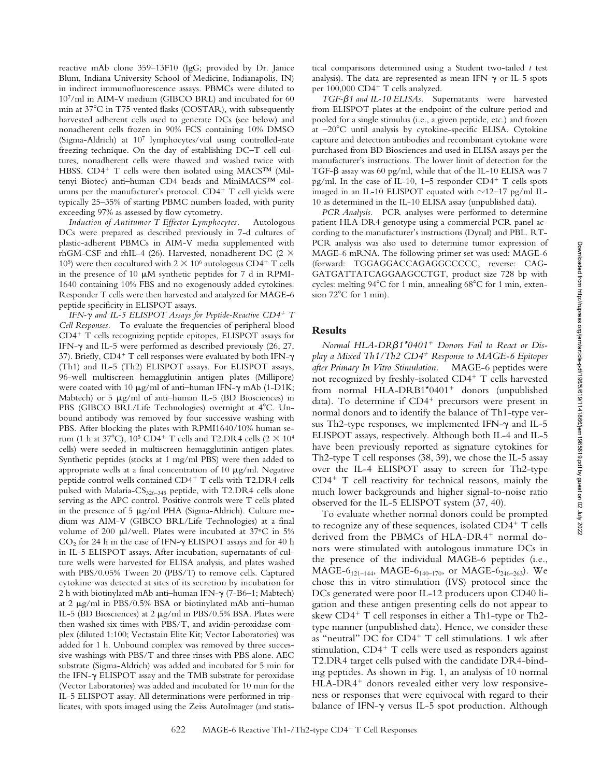reactive mAb clone 359–13F10 (IgG; provided by Dr. Janice Blum, Indiana University School of Medicine, Indianapolis, IN) in indirect immunofluorescence assays. PBMCs were diluted to 107/ml in AIM-V medium (GIBCO BRL) and incubated for 60 min at 37°C in T75 vented flasks (COSTAR), with subsequently harvested adherent cells used to generate DCs (see below) and nonadherent cells frozen in 90% FCS containing 10% DMSO (Sigma-Aldrich) at 107 lymphocytes/vial using controlled-rate freezing technique. On the day of establishing DC–T cell cultures, nonadherent cells were thawed and washed twice with HBSS. CD4<sup>+</sup> T cells were then isolated using MACS<sup>TM</sup> (Miltenyi Biotec) anti–human CD4 beads and MiniMACS™ columns per the manufacturer's protocol. CD4<sup>+</sup> T cell yields were typically 25–35% of starting PBMC numbers loaded, with purity exceeding 97% as assessed by flow cytometry.

*Induction of Antitumor T Effector Lymphocytes.* Autologous DCs were prepared as described previously in 7-d cultures of plastic-adherent PBMCs in AIM-V media supplemented with rhGM-CSF and rhIL-4 (26). Harvested, nonadherent DC (2  $\times$ 10<sup>5</sup>) were then cocultured with  $2 \times 10^6$  autologous CD4<sup>+</sup> T cells in the presence of 10  $\mu$ M synthetic peptides for 7 d in RPMI-1640 containing 10% FBS and no exogenously added cytokines. Responder T cells were then harvested and analyzed for MAGE-6 peptide specificity in ELISPOT assays.

*IFN- and IL-5 ELISPOT Assays for Peptide-Reactive CD4*- *T Cell Responses.* To evaluate the frequencies of peripheral blood CD4- T cells recognizing peptide epitopes, ELISPOT assays for IFN- $\gamma$  and IL-5 were performed as described previously (26, 27, 37). Briefly, CD4+ T cell responses were evaluated by both IFN- $\gamma$ (Th1) and IL-5 (Th2) ELISPOT assays. For ELISPOT assays, 96-well multiscreen hemagglutinin antigen plates (Millipore) were coated with 10  $\mu$ g/ml of anti-human IFN- $\gamma$  mAb (1-D1K; Mabtech) or 5  $\mu$ g/ml of anti-human IL-5 (BD Biosciences) in PBS (GIBCO BRL/Life Technologies) overnight at 4°C. Unbound antibody was removed by four successive washing with PBS. After blocking the plates with RPMI1640/10% human serum (1 h at 37°C), 10<sup>5</sup> CD4<sup>+</sup> T cells and T2.DR4 cells (2  $\times$  10<sup>4</sup> cells) were seeded in multiscreen hemagglutinin antigen plates. Synthetic peptides (stocks at 1 mg/ml PBS) were then added to appropriate wells at a final concentration of 10  $\mu$ g/ml. Negative peptide control wells contained CD4<sup>+</sup> T cells with T2.DR4 cells pulsed with Malaria- $CS_{326-345}$  peptide, with T2.DR4 cells alone serving as the APC control. Positive controls were T cells plated in the presence of 5  $\mu$ g/ml PHA (Sigma-Aldrich). Culture medium was AIM-V (GIBCO BRL/Life Technologies) at a final volume of 200  $\mu$ l/well. Plates were incubated at 37°C in 5%  $CO<sub>2</sub>$  for 24 h in the case of IFN- $\gamma$  ELISPOT assays and for 40 h in IL-5 ELISPOT assays. After incubation, supernatants of culture wells were harvested for ELISA analysis, and plates washed with PBS/0.05% Tween 20 (PBS/T) to remove cells. Captured cytokine was detected at sites of its secretion by incubation for 2 h with biotinylated mAb anti-human IFN- $\gamma$  (7-B6-1; Mabtech) at 2  $\mu$ g/ml in PBS/0.5% BSA or biotinylated mAb anti-human IL-5 (BD Biosciences) at 2  $\mu$ g/ml in PBS/0.5% BSA. Plates were then washed six times with PBS/T, and avidin-peroxidase complex (diluted 1:100; Vectastain Elite Kit; Vector Laboratories) was added for 1 h. Unbound complex was removed by three successive washings with PBS/T and three rinses with PBS alone. AEC substrate (Sigma-Aldrich) was added and incubated for 5 min for the IFN- $\gamma$  ELISPOT assay and the TMB substrate for peroxidase (Vector Laboratories) was added and incubated for 10 min for the IL-5 ELISPOT assay. All determinations were performed in triplicates, with spots imaged using the Zeiss AutoImager (and statistical comparisons determined using a Student two-tailed *t* test analysis). The data are represented as mean IFN- $\gamma$  or IL-5 spots per 100,000 CD4<sup>+</sup> T cells analyzed.

*TGF-1 and IL-10 ELISAs.* Supernatants were harvested from ELISPOT plates at the endpoint of the culture period and pooled for a single stimulus (i.e., a given peptide, etc.) and frozen at  $-20^{\circ}$ C until analysis by cytokine-specific ELISA. Cytokine capture and detection antibodies and recombinant cytokine were purchased from BD Biosciences and used in ELISA assays per the manufacturer's instructions. The lower limit of detection for the TGF- $\beta$  assay was 60 pg/ml, while that of the IL-10 ELISA was 7 pg/ml. In the case of IL-10, 1–5 responder CD4<sup>+</sup> T cells spots imaged in an IL-10 ELISPOT equated with  $\sim$ 12–17 pg/ml IL-10 as determined in the IL-10 ELISA assay (unpublished data).

*PCR Analysis.* PCR analyses were performed to determine patient HLA-DR4 genotype using a commercial PCR panel according to the manufacturer's instructions (Dynal) and PBL. RT-PCR analysis was also used to determine tumor expression of MAGE-6 mRNA. The following primer set was used: MAGE-6 (forward: TGGAGGACCAGAGGCCCCC, reverse: CAG-GATGATTATCAGGAAGCCTGT, product size 728 bp with cycles: melting 94°C for 1 min, annealing 68°C for 1 min, extension  $72^{\circ}$ C for 1 min).

### **Results**

*Normal HLA-DR1\*0401*- *Donors Fail to React or Display a Mixed Th1/Th2 CD4*- *Response to MAGE-6 Epitopes after Primary In Vitro Stimulation.* MAGE-6 peptides were not recognized by freshly-isolated CD4- T cells harvested from normal HLA-DRB1\*0401<sup>+</sup> donors (unpublished data). To determine if CD4<sup>+</sup> precursors were present in normal donors and to identify the balance of Th1-type versus Th2-type responses, we implemented IFN- $\gamma$  and IL-5 ELISPOT assays, respectively. Although both IL-4 and IL-5 have been previously reported as signature cytokines for Th2-type T cell responses (38, 39), we chose the IL-5 assay over the IL-4 ELISPOT assay to screen for Th2-type CD4- T cell reactivity for technical reasons, mainly the much lower backgrounds and higher signal-to-noise ratio observed for the IL-5 ELISPOT system (37, 40).

To evaluate whether normal donors could be prompted to recognize any of these sequences, isolated CD4<sup>+</sup> T cells derived from the PBMCs of HLA-DR4<sup>+</sup> normal donors were stimulated with autologous immature DCs in the presence of the individual MAGE-6 peptides (i.e., MAGE-6<sub>121–144</sub>, MAGE-6<sub>140–170</sub>, or MAGE-6<sub>246–263</sub>). We chose this in vitro stimulation (IVS) protocol since the DCs generated were poor IL-12 producers upon CD40 ligation and these antigen presenting cells do not appear to skew CD4<sup>+</sup> T cell responses in either a Th1-type or Th2type manner (unpublished data). Hence, we consider these as "neutral" DC for CD4<sup>+</sup> T cell stimulations. 1 wk after stimulation, CD4<sup>+</sup> T cells were used as responders against T2.DR4 target cells pulsed with the candidate DR4-binding peptides. As shown in Fig. 1, an analysis of 10 normal HLA-DR4<sup>+</sup> donors revealed either very low responsiveness or responses that were equivocal with regard to their balance of IFN- $\gamma$  versus IL-5 spot production. Although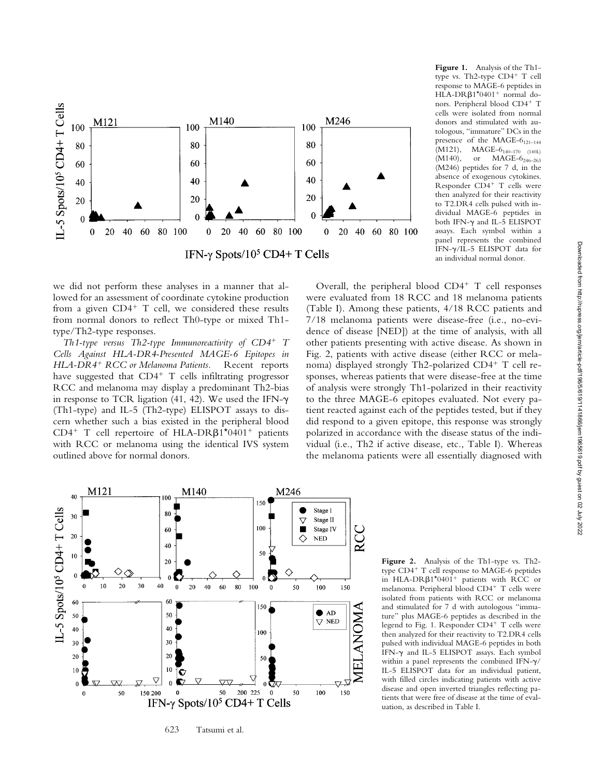

**Figure 1.** Analysis of the Th1 type vs. Th2-type CD4<sup>+</sup> T cell response to MAGE-6 peptides in HLA-DRβ1\*0401<sup>+</sup> normal donors. Peripheral blood CD4- T cells were isolated from normal donors and stimulated with autologous, "immature" DCs in the presence of the MAGE- $6_{121-144}$ <br>(M121), MAGE- $6_{140-170}$  (1401) (M121), MAGE-6<sub>140-170</sub> (140L)<br>(M140), or MAGE-6<sub>246-263</sub> or  $MAGE-6_{246-263}$ (M246) peptides for 7 d, in the absence of exogenous cytokines. Responder CD4<sup>+</sup> T cells were then analyzed for their reactivity to T2.DR4 cells pulsed with individual MAGE-6 peptides in both IFN- $\gamma$  and IL-5 ELISPOT assays. Each symbol within a panel represents the combined IFN- $\gamma$ /IL-5 ELISPOT data for an individual normal donor.

we did not perform these analyses in a manner that allowed for an assessment of coordinate cytokine production from a given CD4<sup>+</sup> T cell, we considered these results from normal donors to reflect Th0-type or mixed Th1 type/Th2-type responses.

*Th1-type versus Th2-type Immunoreactivity of CD4*- *T Cells Against HLA-DR4-Presented MAGE-6 Epitopes in HLA-DR4*- *RCC or Melanoma Patients.* Recent reports have suggested that CD4<sup>+</sup> T cells infiltrating progressor RCC and melanoma may display a predominant Th2-bias in response to TCR ligation (41, 42). We used the IFN- $\gamma$ (Th1-type) and IL-5 (Th2-type) ELISPOT assays to discern whether such a bias existed in the peripheral blood CD4<sup>+</sup> T cell repertoire of HLA-DR $\beta$ 1\*0401<sup>+</sup> patients with RCC or melanoma using the identical IVS system outlined above for normal donors.

Overall, the peripheral blood CD4<sup>+</sup> T cell responses were evaluated from 18 RCC and 18 melanoma patients (Table I). Among these patients, 4/18 RCC patients and 7/18 melanoma patients were disease-free (i.e., no-evidence of disease [NED]) at the time of analysis, with all other patients presenting with active disease. As shown in Fig. 2, patients with active disease (either RCC or melanoma) displayed strongly Th2-polarized CD4- T cell responses, whereas patients that were disease-free at the time of analysis were strongly Th1-polarized in their reactivity to the three MAGE-6 epitopes evaluated. Not every patient reacted against each of the peptides tested, but if they did respond to a given epitope, this response was strongly polarized in accordance with the disease status of the individual (i.e., Th2 if active disease, etc., Table I). Whereas the melanoma patients were all essentially diagnosed with



623 Tatsumi et al.

**Figure 2.** Analysis of the Th1-type vs. Th2 type CD4<sup>+</sup> T cell response to MAGE-6 peptides in HLA-DR $\beta$ 1\*0401<sup>+</sup> patients with RCC or melanoma. Peripheral blood CD4<sup>+</sup> T cells were isolated from patients with RCC or melanoma and stimulated for 7 d with autologous "immature" plus MAGE-6 peptides as described in the legend to Fig. 1. Responder CD4<sup>+</sup> T cells were then analyzed for their reactivity to T2.DR4 cells pulsed with individual MAGE-6 peptides in both IFN- $\gamma$  and IL-5 ELISPOT assays. Each symbol within a panel represents the combined IFN- $\gamma$ / IL-5 ELISPOT data for an individual patient, with filled circles indicating patients with active disease and open inverted triangles reflecting patients that were free of disease at the time of evaluation, as described in Table I.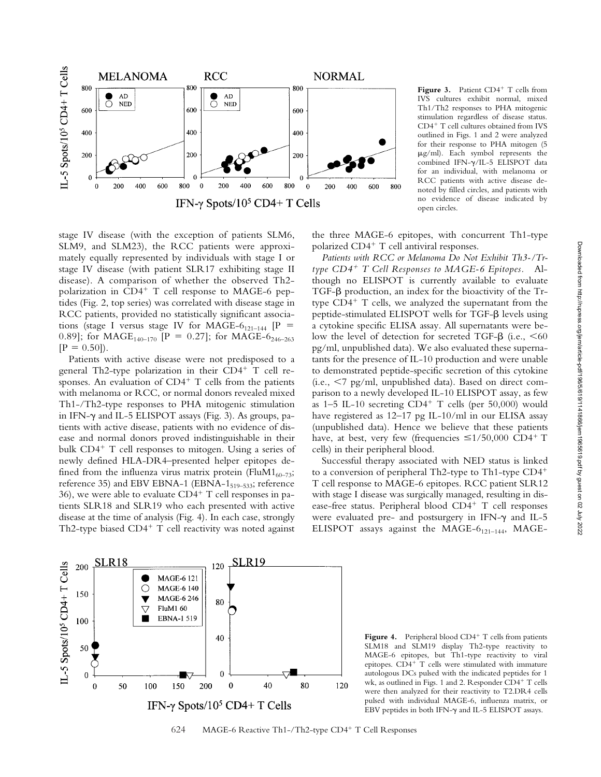

Figure 3. Patient CD4<sup>+</sup> T cells from IVS cultures exhibit normal, mixed Th1/Th2 responses to PHA mitogenic stimulation regardless of disease status. CD4- T cell cultures obtained from IVS outlined in Figs. 1 and 2 were analyzed for their response to PHA mitogen (5 g/ml). Each symbol represents the combined IFN- $\gamma$ /IL-5 ELISPOT data for an individual, with melanoma or RCC patients with active disease denoted by filled circles, and patients with no evidence of disease indicated by open circles.

stage IV disease (with the exception of patients SLM6, SLM9, and SLM23), the RCC patients were approximately equally represented by individuals with stage I or stage IV disease (with patient SLR17 exhibiting stage II disease). A comparison of whether the observed Th2 polarization in CD4- T cell response to MAGE-6 peptides (Fig. 2, top series) was correlated with disease stage in RCC patients, provided no statistically significant associations (stage I versus stage IV for MAGE- $6_{121-144}$  [P = 0.89]; for MAGE<sub>140-170</sub> [P = 0.27]; for MAGE-6<sub>246-263</sub>  $[P = 0.50]$ .

Patients with active disease were not predisposed to a general Th2-type polarization in their CD4<sup>+</sup> T cell responses. An evaluation of CD4<sup>+</sup> T cells from the patients with melanoma or RCC, or normal donors revealed mixed Th1-/Th2-type responses to PHA mitogenic stimulation in IFN- $\gamma$  and IL-5 ELISPOT assays (Fig. 3). As groups, patients with active disease, patients with no evidence of disease and normal donors proved indistinguishable in their bulk CD4<sup>+</sup> T cell responses to mitogen. Using a series of newly defined HLA-DR4–presented helper epitopes defined from the influenza virus matrix protein (FluM1<sub>60–73</sub>; reference 35) and EBV EBNA-1 (EBNA-1 $_{519-533}$ ; reference 36), we were able to evaluate  $CD4^+$  T cell responses in patients SLR18 and SLR19 who each presented with active disease at the time of analysis (Fig. 4). In each case, strongly Th2-type biased CD4<sup>+</sup> T cell reactivity was noted against



the three MAGE-6 epitopes, with concurrent Th1-type polarized CD4- T cell antiviral responses.

*Patients with RCC or Melanoma Do Not Exhibit Th3-/Trtype CD4*- *T Cell Responses to MAGE-6 Epitopes.* Although no ELISPOT is currently available to evaluate  $TGF-\beta$  production, an index for the bioactivity of the  $Tr-\beta$ type  $CD4^+$  T cells, we analyzed the supernatant from the peptide-stimulated ELISPOT wells for TGF- $\beta$  levels using a cytokine specific ELISA assay. All supernatants were below the level of detection for secreted TGF- $\beta$  (i.e.,  $\leq 60$ pg/ml, unpublished data). We also evaluated these supernatants for the presence of IL-10 production and were unable to demonstrated peptide-specific secretion of this cytokine  $(i.e., < 7$  pg/ml, unpublished data). Based on direct comparison to a newly developed IL-10 ELISPOT assay, as few as  $1-5$  IL-10 secreting  $CD4^+$  T cells (per 50,000) would have registered as 12-17 pg IL-10/ml in our ELISA assay (unpublished data). Hence we believe that these patients have, at best, very few (frequencies  $\leq 1/50,000$  CD4<sup>+</sup> T cells) in their peripheral blood.

Successful therapy associated with NED status is linked to a conversion of peripheral Th2-type to Th1-type CD4- T cell response to MAGE-6 epitopes. RCC patient SLR12 with stage I disease was surgically managed, resulting in disease-free status. Peripheral blood CD4<sup>+</sup> T cell responses were evaluated pre- and postsurgery in IFN- $\gamma$  and IL-5 ELISPOT assays against the MAGE-6<sub>121-144</sub>, MAGE-

Figure 4. Peripheral blood CD4<sup>+</sup> T cells from patients SLM18 and SLM19 display Th2-type reactivity to MAGE-6 epitopes, but Th1-type reactivity to viral epitopes. CD4<sup>+</sup> T cells were stimulated with immature autologous DCs pulsed with the indicated peptides for 1 wk, as outlined in Figs. 1 and 2. Responder CD4<sup>+</sup> T cells were then analyzed for their reactivity to T2.DR4 cells pulsed with individual MAGE-6, influenza matrix, or EBV peptides in both IFN- $\gamma$  and IL-5 ELISPOT assays.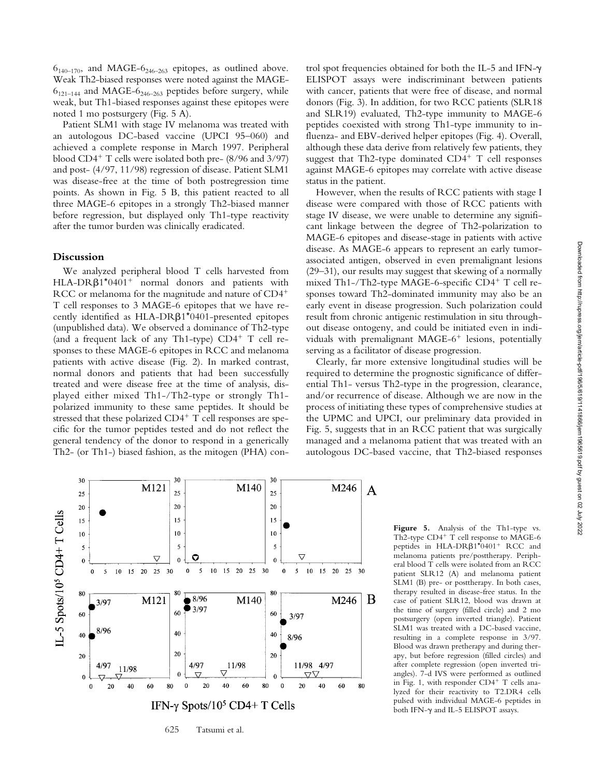$6<sub>140–170</sub>$ , and MAGE- $6<sub>246–263</sub>$  epitopes, as outlined above. Weak Th2-biased responses were noted against the MAGE- $6_{121-144}$  and MAGE- $6_{246-263}$  peptides before surgery, while weak, but Th1-biased responses against these epitopes were noted 1 mo postsurgery (Fig. 5 A).

Patient SLM1 with stage IV melanoma was treated with an autologous DC-based vaccine (UPCI 95–060) and achieved a complete response in March 1997. Peripheral blood CD4<sup>+</sup> T cells were isolated both pre- (8/96 and 3/97) and post- (4/97, 11/98) regression of disease. Patient SLM1 was disease-free at the time of both postregression time points. As shown in Fig. 5 B, this patient reacted to all three MAGE-6 epitopes in a strongly Th2-biased manner before regression, but displayed only Th1-type reactivity after the tumor burden was clinically eradicated.

### **Discussion**

We analyzed peripheral blood T cells harvested from  $HLA-DR\beta1*0401^+$  normal donors and patients with RCC or melanoma for the magnitude and nature of CD4<sup>+</sup> T cell responses to 3 MAGE-6 epitopes that we have recently identified as  $HLA-DR\beta1*0401$ -presented epitopes (unpublished data). We observed a dominance of Th2-type (and a frequent lack of any Th1-type) CD4+ T cell responses to these MAGE-6 epitopes in RCC and melanoma patients with active disease (Fig. 2). In marked contrast, normal donors and patients that had been successfully treated and were disease free at the time of analysis, displayed either mixed Th1-/Th2-type or strongly Th1 polarized immunity to these same peptides. It should be stressed that these polarized CD4<sup>+</sup> T cell responses are specific for the tumor peptides tested and do not reflect the general tendency of the donor to respond in a generically Th2- (or Th1-) biased fashion, as the mitogen (PHA) control spot frequencies obtained for both the IL-5 and IFN- $\gamma$ ELISPOT assays were indiscriminant between patients with cancer, patients that were free of disease, and normal donors (Fig. 3). In addition, for two RCC patients (SLR18 and SLR19) evaluated, Th2-type immunity to MAGE-6 peptides coexisted with strong Th1-type immunity to influenza- and EBV-derived helper epitopes (Fig. 4). Overall, although these data derive from relatively few patients, they suggest that Th2-type dominated CD4<sup>+</sup> T cell responses against MAGE-6 epitopes may correlate with active disease status in the patient.

However, when the results of RCC patients with stage I disease were compared with those of RCC patients with stage IV disease, we were unable to determine any significant linkage between the degree of Th2-polarization to MAGE-6 epitopes and disease-stage in patients with active disease. As MAGE-6 appears to represent an early tumorassociated antigen, observed in even premalignant lesions (29–31), our results may suggest that skewing of a normally mixed Th1-/Th2-type MAGE-6-specific CD4<sup>+</sup> T cell responses toward Th2-dominated immunity may also be an early event in disease progression. Such polarization could result from chronic antigenic restimulation in situ throughout disease ontogeny, and could be initiated even in individuals with premalignant MAGE-6<sup>+</sup> lesions, potentially serving as a facilitator of disease progression.

Clearly, far more extensive longitudinal studies will be required to determine the prognostic significance of differential Th1- versus Th2-type in the progression, clearance, and/or recurrence of disease. Although we are now in the process of initiating these types of comprehensive studies at the UPMC and UPCI, our preliminary data provided in Fig. 5, suggests that in an RCC patient that was surgically managed and a melanoma patient that was treated with an autologous DC-based vaccine, that Th2-biased responses



625 Tatsumi et al.

**Figure 5.** Analysis of the Th1-type vs. Th2-type CD4<sup>+</sup> T cell response to MAGE-6 peptides in HLA-DR $\beta$ 1\*0401<sup>+</sup> RCC and melanoma patients pre/posttherapy. Peripheral blood T cells were isolated from an RCC patient SLR12 (A) and melanoma patient SLM1 (B) pre- or posttherapy. In both cases, therapy resulted in disease-free status. In the case of patient SLR12, blood was drawn at the time of surgery (filled circle) and 2 mo postsurgery (open inverted triangle). Patient SLM1 was treated with a DC-based vaccine, resulting in a complete response in 3/97. Blood was drawn pretherapy and during therapy, but before regression (filled circles) and after complete regression (open inverted triangles). 7-d IVS were performed as outlined in Fig. 1, with responder CD4<sup>+</sup> T cells analyzed for their reactivity to T2.DR4 cells pulsed with individual MAGE-6 peptides in both IFN- $\gamma$  and IL-5 ELISPOT assays.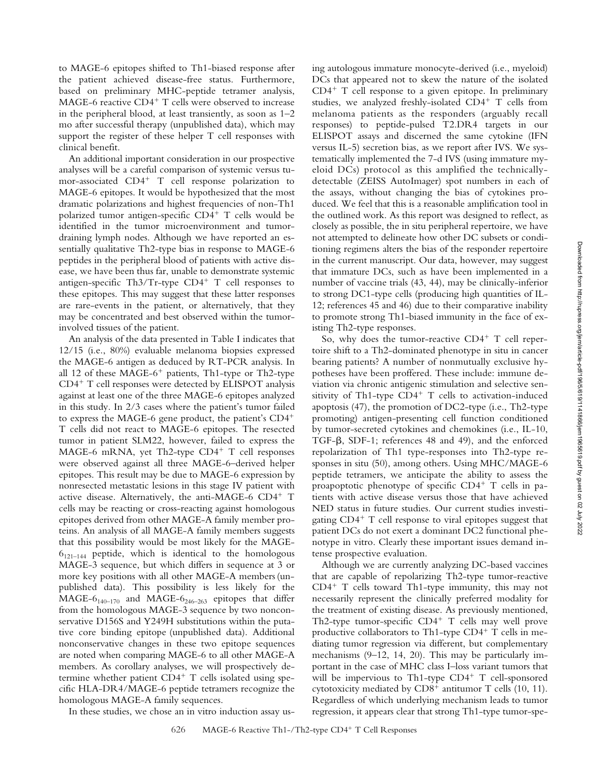to MAGE-6 epitopes shifted to Th1-biased response after the patient achieved disease-free status. Furthermore, based on preliminary MHC-peptide tetramer analysis, MAGE-6 reactive CD4<sup>+</sup> T cells were observed to increase in the peripheral blood, at least transiently, as soon as  $1-2$ mo after successful therapy (unpublished data), which may support the register of these helper T cell responses with clinical benefit.

An additional important consideration in our prospective analyses will be a careful comparison of systemic versus tumor-associated CD4- T cell response polarization to MAGE-6 epitopes. It would be hypothesized that the most dramatic polarizations and highest frequencies of non-Th1 polarized tumor antigen-specific CD4<sup>+</sup> T cells would be identified in the tumor microenvironment and tumordraining lymph nodes. Although we have reported an essentially qualitative Th2-type bias in response to MAGE-6 peptides in the peripheral blood of patients with active disease, we have been thus far, unable to demonstrate systemic antigen-specific Th3/Tr-type CD4<sup>+</sup> T cell responses to these epitopes. This may suggest that these latter responses are rare-events in the patient, or alternatively, that they may be concentrated and best observed within the tumorinvolved tissues of the patient.

An analysis of the data presented in Table I indicates that 12/15 (i.e., 80%) evaluable melanoma biopsies expressed the MAGE-6 antigen as deduced by RT-PCR analysis. In all 12 of these MAGE-6<sup>+</sup> patients, Th1-type or Th2-type CD4<sup>+</sup> T cell responses were detected by ELISPOT analysis against at least one of the three MAGE-6 epitopes analyzed in this study. In 2/3 cases where the patient's tumor failed to express the MAGE-6 gene product, the patient's CD4- T cells did not react to MAGE-6 epitopes. The resected tumor in patient SLM22, however, failed to express the MAGE-6 mRNA, yet Th2-type CD4<sup>+</sup> T cell responses were observed against all three MAGE-6–derived helper epitopes. This result may be due to MAGE-6 expression by nonresected metastatic lesions in this stage IV patient with active disease. Alternatively, the anti-MAGE-6 CD4<sup>+</sup> T cells may be reacting or cross-reacting against homologous epitopes derived from other MAGE-A family member proteins. An analysis of all MAGE-A family members suggests that this possibility would be most likely for the MAGE- $6_{121-144}$  peptide, which is identical to the homologous MAGE-3 sequence, but which differs in sequence at 3 or more key positions with all other MAGE-A members (unpublished data). This possibility is less likely for the MAGE- $6_{140-170}$  and MAGE- $6_{246-263}$  epitopes that differ from the homologous MAGE-3 sequence by two nonconservative D156S and Y249H substitutions within the putative core binding epitope (unpublished data). Additional nonconservative changes in these two epitope sequences are noted when comparing MAGE-6 to all other MAGE-A members. As corollary analyses, we will prospectively determine whether patient CD4<sup>+</sup> T cells isolated using specific HLA-DR4/MAGE-6 peptide tetramers recognize the homologous MAGE-A family sequences.

ing autologous immature monocyte-derived (i.e., myeloid) DCs that appeared not to skew the nature of the isolated CD4- T cell response to a given epitope. In preliminary studies, we analyzed freshly-isolated CD4<sup>+</sup> T cells from melanoma patients as the responders (arguably recall responses) to peptide-pulsed T2.DR4 targets in our ELISPOT assays and discerned the same cytokine (IFN versus IL-5) secretion bias, as we report after IVS. We systematically implemented the 7-d IVS (using immature myeloid DCs) protocol as this amplified the technicallydetectable (ZEISS AutoImager) spot numbers in each of the assays, without changing the bias of cytokines produced. We feel that this is a reasonable amplification tool in the outlined work. As this report was designed to reflect, as closely as possible, the in situ peripheral repertoire, we have not attempted to delineate how other DC subsets or conditioning regimens alters the bias of the responder repertoire in the current manuscript. Our data, however, may suggest that immature DCs, such as have been implemented in a number of vaccine trials (43, 44), may be clinically-inferior to strong DC1-type cells (producing high quantities of IL-12; references 45 and 46) due to their comparative inability to promote strong Th1-biased immunity in the face of existing Th2-type responses.

So, why does the tumor-reactive CD4<sup>+</sup> T cell repertoire shift to a Th2-dominated phenotype in situ in cancer bearing patients? A number of nonmutually exclusive hypotheses have been proffered. These include: immune deviation via chronic antigenic stimulation and selective sensitivity of Th1-type  $CD4^+$  T cells to activation-induced apoptosis (47), the promotion of DC2-type (i.e., Th2-type promoting) antigen-presenting cell function conditioned by tumor-secreted cytokines and chemokines (i.e., IL-10, TGF- $\beta$ , SDF-1; references 48 and 49), and the enforced repolarization of Th1 type-responses into Th2-type responses in situ (50), among others. Using MHC/MAGE-6 peptide tetramers, we anticipate the ability to assess the proapoptotic phenotype of specific CD4<sup>+</sup> T cells in patients with active disease versus those that have achieved NED status in future studies. Our current studies investigating CD4- T cell response to viral epitopes suggest that patient DCs do not exert a dominant DC2 functional phenotype in vitro. Clearly these important issues demand intense prospective evaluation.

Although we are currently analyzing DC-based vaccines that are capable of repolarizing Th2-type tumor-reactive CD4- T cells toward Th1-type immunity, this may not necessarily represent the clinically preferred modality for the treatment of existing disease. As previously mentioned, Th2-type tumor-specific CD4<sup>+</sup> T cells may well prove productive collaborators to Th1-type  $CD4^+$  T cells in mediating tumor regression via different, but complementary mechanisms (9–12, 14, 20). This may be particularly important in the case of MHC class I–loss variant tumors that will be impervious to Th1-type CD4<sup>+</sup> T cell-sponsored cytotoxicity mediated by  $CD8<sup>+</sup>$  antitumor T cells (10, 11). Regardless of which underlying mechanism leads to tumor regression, it appears clear that strong Th1-type tumor-spe-

In these studies, we chose an in vitro induction assay us-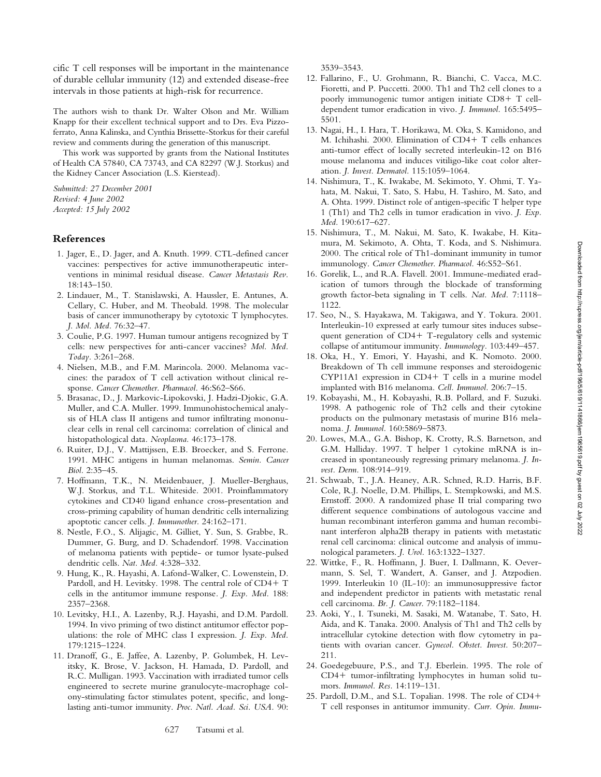cific T cell responses will be important in the maintenance of durable cellular immunity (12) and extended disease-free intervals in those patients at high-risk for recurrence.

The authors wish to thank Dr. Walter Olson and Mr. William Knapp for their excellent technical support and to Drs. Eva Pizzoferrato, Anna Kalinska, and Cynthia Brissette-Storkus for their careful review and comments during the generation of this manuscript.

This work was supported by grants from the National Institutes of Health CA 57840, CA 73743, and CA 82297 (W.J. Storkus) and the Kidney Cancer Association (L.S. Kierstead).

*Submitted: 27 December 2001 Revised: 4 June 2002 Accepted: 15 July 2002*

# **References**

- 1. Jager, E., D. Jager, and A. Knuth. 1999. CTL-defined cancer vaccines: perspectives for active immunotherapeutic interventions in minimal residual disease. *Cancer Metastasis Rev.* 18:143–150.
- 2. Lindauer, M., T. Stanislawski, A. Haussler, E. Antunes, A. Cellary, C. Huber, and M. Theobald. 1998. The molecular basis of cancer immunotherapy by cytotoxic T lymphocytes. *J. Mol. Med.* 76:32–47.
- 3. Coulie, P.G. 1997. Human tumour antigens recognized by T cells: new perspectives for anti-cancer vaccines? *Mol. Med. Today.* 3:261–268.
- 4. Nielsen, M.B., and F.M. Marincola. 2000. Melanoma vaccines: the paradox of T cell activation without clinical response. *Cancer Chemother. Pharmacol.* 46:S62–S66.
- 5. Brasanac, D., J. Markovic-Lipokovski, J. Hadzi-Djokic, G.A. Muller, and C.A. Muller. 1999. Immunohistochemical analysis of HLA class II antigens and tumor infiltrating mononuclear cells in renal cell carcinoma: correlation of clinical and histopathological data*. Neoplasma.* 46:173–178.
- 6. Ruiter, D.J., V. Mattijssen, E.B. Broecker, and S. Ferrone. 1991. MHC antigens in human melanomas. *Semin. Cancer Biol.* 2:35–45.
- 7. Hoffmann, T.K., N. Meidenbauer, J. Mueller-Berghaus, W.J. Storkus, and T.L. Whiteside. 2001. Proinflammatory cytokines and CD40 ligand enhance cross-presentation and cross-priming capability of human dendritic cells internalizing apoptotic cancer cells. *J. Immunother.* 24:162–171.
- 8. Nestle, F.O., S. Alijagic, M. Gilliet, Y. Sun, S. Grabbe, R. Dummer, G. Burg, and D. Schadendorf. 1998. Vaccination of melanoma patients with peptide- or tumor lysate-pulsed dendritic cells. *Nat. Med.* 4:328–332.
- 9. Hung, K., R. Hayashi, A. Lafond-Walker, C. Lowenstein, D. Pardoll, and H. Levitsky. 1998. The central role of CD4+ T cells in the antitumor immune response*. J. Exp. Med.* 188: 2357–2368.
- 10. Levitsky, H.I., A. Lazenby, R.J. Hayashi, and D.M. Pardoll. 1994. In vivo priming of two distinct antitumor effector populations: the role of MHC class I expression. *J. Exp. Med.* 179:1215–1224.
- 11. Dranoff, G., E. Jaffee, A. Lazenby, P. Golumbek, H. Levitsky, K. Brose, V. Jackson, H. Hamada, D. Pardoll, and R.C. Mulligan. 1993. Vaccination with irradiated tumor cells engineered to secrete murine granulocyte-macrophage colony-stimulating factor stimulates potent, specific, and longlasting anti-tumor immunity. *Proc. Natl. Acad. Sci. USA.* 90:

3539–3543.

- 12. Fallarino, F., U. Grohmann, R. Bianchi, C. Vacca, M.C. Fioretti, and P. Puccetti. 2000. Th1 and Th2 cell clones to a poorly immunogenic tumor antigen initiate CD8- T celldependent tumor eradication in vivo. *J. Immunol.* 165:5495– 5501.
- 13. Nagai, H., I. Hara, T. Horikawa, M. Oka, S. Kamidono, and M. Ichihashi. 2000. Elimination of CD4+ T cells enhances anti-tumor effect of locally secreted interleukin-12 on B16 mouse melanoma and induces vitiligo-like coat color alteration*. J. Invest. Dermatol.* 115:1059–1064.
- 14. Nishimura, T., K. Iwakabe, M. Sekimoto, Y. Ohmi, T. Yahata, M. Nakui, T. Sato, S. Habu, H. Tashiro, M. Sato, and A. Ohta. 1999. Distinct role of antigen-specific T helper type 1 (Th1) and Th2 cells in tumor eradication in vivo. *J. Exp. Med.* 190:617–627.
- 15. Nishimura, T., M. Nakui, M. Sato, K. Iwakabe, H. Kitamura, M. Sekimoto, A. Ohta, T. Koda, and S. Nishimura. 2000. The critical role of Th1-dominant immunity in tumor immunology. *Cancer Chemother. Pharmacol.* 46:S52–S61.
- 16. Gorelik, L., and R.A. Flavell. 2001. Immune-mediated eradication of tumors through the blockade of transforming growth factor-beta signaling in T cells. *Nat. Med.* 7:1118– 1122.
- 17. Seo, N., S. Hayakawa, M. Takigawa, and Y. Tokura. 2001. Interleukin-10 expressed at early tumour sites induces subsequent generation of CD4+ T-regulatory cells and systemic collapse of antitumour immunity. *Immunology.* 103:449–457.
- 18. Oka, H., Y. Emori, Y. Hayashi, and K. Nomoto. 2000. Breakdown of Th cell immune responses and steroidogenic CYP11A1 expression in CD4+ T cells in a murine model implanted with B16 melanoma. *Cell. Immunol.* 206:7–15.
- 19. Kobayashi, M., H. Kobayashi, R.B. Pollard, and F. Suzuki. 1998. A pathogenic role of Th2 cells and their cytokine products on the pulmonary metastasis of murine B16 melanoma*. J. Immunol.* 160:5869–5873.
- 20. Lowes, M.A., G.A. Bishop, K. Crotty, R.S. Barnetson, and G.M. Halliday. 1997. T helper 1 cytokine mRNA is increased in spontaneously regressing primary melanoma. *J. Invest. Derm.* 108:914–919.
- 21. Schwaab, T., J.A. Heaney, A.R. Schned, R.D. Harris, B.F. Cole, R.J. Noelle, D.M. Phillips, L. Stempkowski, and M.S. Ernstoff. 2000. A randomized phase II trial comparing two different sequence combinations of autologous vaccine and human recombinant interferon gamma and human recombinant interferon alpha2B therapy in patients with metastatic renal cell carcinoma: clinical outcome and analysis of immunological parameters. *J. Urol.* 163:1322–1327.
- 22. Wittke, F., R. Hoffmann, J. Buer, I. Dallmann, K. Oevermann, S. Sel, T. Wandert, A. Ganser, and J. Atzpodien. 1999. Interleukin 10 (IL-10): an immunosuppressive factor and independent predictor in patients with metastatic renal cell carcinoma. *Br. J. Cancer.* 79:1182–1184.
- 23. Aoki, Y., I. Tsuneki, M. Sasaki, M. Watanabe, T. Sato, H. Aida, and K. Tanaka. 2000. Analysis of Th1 and Th2 cells by intracellular cytokine detection with flow cytometry in patients with ovarian cancer. *Gynecol. Obstet. Invest.* 50:207– 211.
- 24. Goedegebuure, P.S., and T.J. Eberlein. 1995. The role of CD4- tumor-infiltrating lymphocytes in human solid tumors. *Immunol. Res.* 14:119–131.
- 25. Pardoll, D.M., and S.L. Topalian. 1998. The role of CD4- T cell responses in antitumor immunity. *Curr. Opin. Immu-*